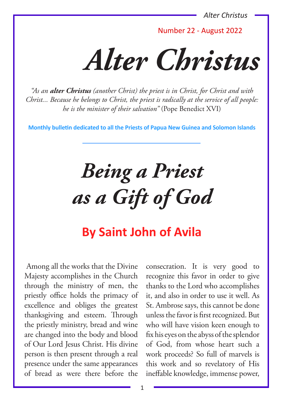Number 22 - August 2022

*Alter Christus*

*"As an alter Christus (another Christ) the priest is in Christ, for Christ and with Christ... Because he belongs to Christ, the priest is radically at the service of all people: he is the minister of their salvation"* (Pope Benedict XVI)

**Monthly bulletin dedicated to all the Priests of Papua New Guinea and Solomon Islands**

*Being a Priest as a Gift of God*

# **By Saint John of Avila**

Among all the works that the Divine Majesty accomplishes in the Church through the ministry of men, the priestly office holds the primacy of excellence and obliges the greatest thanksgiving and esteem. Through the priestly ministry, bread and wine are changed into the body and blood of Our Lord Jesus Christ. His divine person is then present through a real presence under the same appearances of bread as were there before the

consecration. It is very good to recognize this favor in order to give thanks to the Lord who accomplishes it, and also in order to use it well. As St. Ambrose says, this cannot be done unless the favor is first recognized. But who will have vision keen enough to fix his eyes on the abyss of the splendor of God, from whose heart such a work proceeds? So full of marvels is this work and so revelatory of His ineffable knowledge, immense power,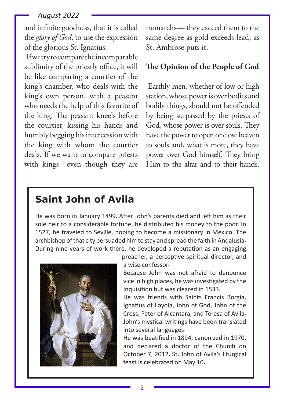and infinite goodness, that it is called the *glory of God*, to use the expression of the glorious St. Ignatius.

If we try to compare the incomparable sublimity of the priestly office, it will be like comparing a courtier of the king's chamber, who deals with the king's own person, with a peasant who needs the help of this favorite of the king. The peasant kneels before the courtier, kissing his hands and humbly begging his intercession with the king with whom the courtier deals. If we want to compare priests with kings—even though they are

monarchs— they exceed them to the same degree as gold exceeds lead, as St. Ambrose puts it.

#### **The Opinion of the People of God**

Earthly men, whether of low or high station, whose power is over bodies and bodily things, should not be offended by being surpassed by the priests of God, whose power is over souls. They have the power to open or close heaven to souls and, what is more, they have power over God himself. They bring Him to the altar and to their hands.

## **Saint John of Avila**

He was born in January 1499. After John's parents died and left him as their sole heir to a considerable fortune, he distributed his money to the poor. In 1527, he traveled to Seville, hoping to become a missionary in Mexico. The archbishop of that city persuaded him to stay and spread the faith in Andalusia. During nine years of work there, he developed a reputation as an engaging



preacher, a perceptive spiritual director, and a wise confessor.

Because John was not afraid to denounce vice in high places, he was investigated by the Inquisition but was cleared in 1533.

He was friends with Saints Francis Borgia, Ignatius of Loyola, John of God, John of the Cross, Peter of Alcantara, and Teresa of Avila. John's mystical writings have been translated into several languages.

He was beatified in 1894, canonized in 1970, and declared a doctor of the Church on October 7, 2012. St. John of Avila's liturgical feast is celebrated on May 10.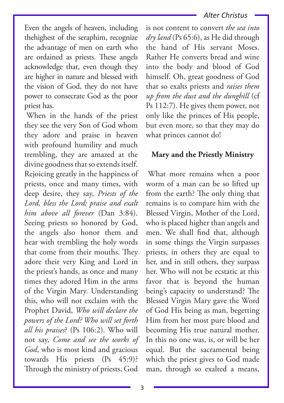Even the angels of heaven, including thehighest of the seraphim, recognize the advantage of men on earth who are ordained as priests. These angels acknowledge that, even though they are higher in nature and blessed with the vision of God, they do not have power to consecrate God as the poor priest has.

When in the hands of the priest they see the very Son of God whom they adore and praise in heaven with profound humility and much trembling, they are amazed at the divine goodness that so extends itself. Rejoicing greatly in the happiness of priests, once and many times, with deep desire, they say, *Priests of the Lord, bless the Lord; praise and exalt him above all forever* (Dan 3:84). Seeing priests so honored by God, the angels also honor them and hear with trembling the holy words that come from their mouths. They adore their very King and Lord in the priest's hands, as once and many times they adored Him in the arms of the Virgin Mary. Understanding this, who will not exclaim with the Prophet David, *Who will declare the powers of the Lord? Who will set forth all his praises*? (Ps 106:2). Who will not say, *Come and see the works of God*, who is most kind and gracious towards His priests (Ps 45:9)? Through the ministry of priests, God

is not content to convert *the sea into dry land* (Ps 65:6), as He did through the hand of His servant Moses. Rather He converts bread and wine into the body and blood of God himself. Oh, great goodness of God that so exalts priests and *raises them up from the dust and the dunghill* (cf Ps 112:7). He gives them power, not only like the princes of His people, but even more, so that they may do what princes cannot do!

### **Mary and the Priestly Ministry**

What more remains when a poor worm of a man can be so lifted up from the earth? The only thing that remains is to compare him with the Blessed Virgin, Mother of the Lord, who is placed higher than angels and men. We shall find that, although in some things the Virgin surpasses priests, in others they are equal to her, and in still others, they surpass her. Who will not be ecstatic at this favor that is beyond the human being's capacity to understand? The Blessed Virgin Mary gave the Word of God His being as man, begetting Him from her most pure blood and becoming His true natural mother. In this no one was, is, or will be her equal. But the sacramental being which the priest gives to God made man, through so exalted a means,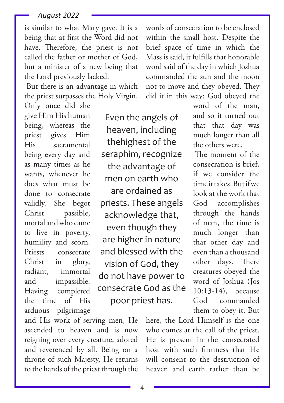is similar to what Mary gave. It is a being that at first the Word did not have. Therefore, the priest is not called the father or mother of God, but a minister of a new being that the Lord previously lacked.

But there is an advantage in which the priest surpasses the Holy Virgin.

Only once did she give Him His human being, whereas the priest gives Him His sacramental being every day and as many times as he wants, whenever he does what must be done to consecrate validly. She begot Christ passible, mortal and who came to live in poverty, humility and scorn. Priests consecrate Christ in glory, radiant, immortal and impassible. Having completed the time of His arduous pilgrimage

Even the angels of heaven, including thehighest of the seraphim, recognize the advantage of men on earth who are ordained as priests. These angels acknowledge that, even though they are higher in nature and blessed with the vision of God, they do not have power to consecrate God as the poor priest has.

and His work of serving men, He ascended to heaven and is now reigning over every creature, adored and reverenced by all. Being on a throne of such Majesty, He returns to the hands of the priest through the

words of consecration to be enclosed within the small host. Despite the brief space of time in which the Mass is said, it fulfills that honorable word said of the day in which Joshua commanded the sun and the moon not to move and they obeyed. They did it in this way: God obeyed the

> word of the man, and so it turned out that that day was much longer than all the others were.

> The moment of the consecration is brief, if we consider the time it takes. But if we look at the work that God accomplishes through the hands of man, the time is much longer than that other day and even than a thousand other days. There creatures obeyed the word of Joshua (Jos 10:13-14), because God commanded them to obey it. But

here, the Lord Himself is the one who comes at the call of the priest. He is present in the consecrated host with such firmness that He will consent to the destruction of heaven and earth rather than be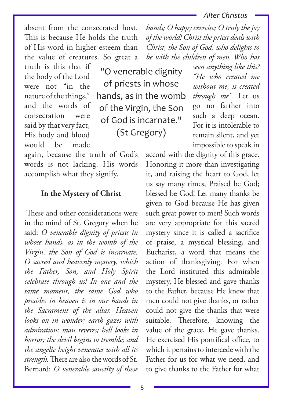absent from the consecrated host. This is because He holds the truth of His word in higher esteem than the value of creatures. So great a

truth is this that if the body of the Lord were not "in the nature of the things," and the words of consecration were said by that very fact, His body and blood would be made

"O venerable dignity of priests in whose hands, as in the womb of the Virgin, the Son of God is incarnate." (St Gregory)

again, because the truth of God's words is not lacking. His words accomplish what they signify.

#### **In the Mystery of Christ**

These and other considerations were in the mind of St. Gregory when he said: *O venerable dignity of priests in whose hands, as in the womb of the Virgin, the Son of God is incarnate. O sacred and heavenly mystery, which the Father, Son, and Holy Spirit celebrate through us! In one and the same moment, the same God who presides in heaven is in our hands in the Sacrament of the altar. Heaven looks on in wonder; earth gazes with admiration; man reveres; hell looks in horror; the devil begins to tremble; and the angelic height venerates with all its strength.* There are also the words of St. Bernard: *O venerable sanctity of these* 

*hands; O happy exercise; O truly the joy of the world! Christ the priest deals with Christ, the Son of God, who delights to be with the children of men. Who has* 

*seen anything like this? "He who created me without me, is created through me".* Let us go no farther into such a deep ocean. For it is intolerable to remain silent, and yet impossible to speak in

accord with the dignity of this grace. Honoring it more than investigating it, and raising the heart to God, let us say many times, Praised be God; blessed be God! Let many thanks be given to God because He has given such great power to men! Such words are very appropriate for this sacred mystery since it is called a sacrifice of praise, a mystical blessing, and Eucharist, a word that means the action of thanksgiving. For when the Lord instituted this admirable mystery, He blessed and gave thanks to the Father, because He knew that men could not give thanks, or rather could not give the thanks that were suitable. Therefore, knowing the value of the grace, He gave thanks. He exercised His pontifical office, to which it pertains to intercede with the Father for us for what we need, and to give thanks to the Father for what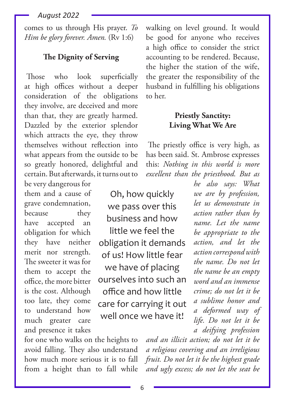comes to us through His prayer. *To Him be glory forever. Amen.* (Rv 1:6)

## **The Dignity of Serving**

Those who look superficially at high offices without a deeper consideration of the obligations they involve, are deceived and more than that, they are greatly harmed. Dazzled by the exterior splendor which attracts the eye, they throw themselves without reflection into what appears from the outside to be so greatly honored, delightful and certain. But afterwards, it turns out to

be very dangerous for them and a cause of grave condemnation, because they have accepted an obligation for which they have neither merit nor strength. The sweeter it was for them to accept the office, the more bitter is the cost. Although too late, they come to understand how much greater care and presence it takes

Oh, how quickly we pass over this business and how little we feel the obligation it demands of us! How little fear we have of placing ourselves into such an office and how little care for carrying it out well once we have it!

walking on level ground. It would be good for anyone who receives a high office to consider the strict accounting to be rendered. Because, the higher the station of the wife, the greater the responsibility of the husband in fulfilling his obligations to her.

## **Priestly Sanctity: Living What We Are**

The priestly office is very high, as has been said. St. Ambrose expresses this: *Nothing in this world is more excellent than the priesthood. But as* 

> *he also says: What we are by profession, let us demonstrate in action rather than by name. Let the name be appropriate to the action, and let the action correspond with the name. Do not let the name be an empty word and an immense crime; do not let it be a sublime honor and a deformed way of life. Do not let it be a deifying profession*

for one who walks on the heights to avoid falling. They also understand how much more serious it is to fall from a height than to fall while

*and an illicit action; do not let it be a religious covering and an irreligious fruit. Do not let it be the highest grade and ugly excess; do not let the seat be*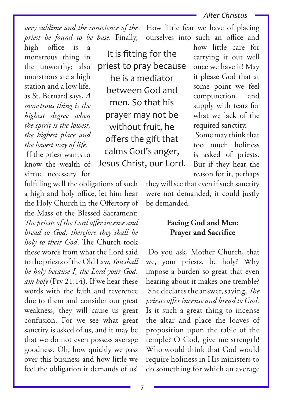How little fear we have of placing ourselves into such an office and

*very sublime and the conscience of the priest be found to be base.* Finally,

high office is a monstrous thing in the unworthy; also monstrous are a high station and a low life, as St. Bernard says, *A monstrous thing is the highest degree when the spirit is the lowest, the highest place and the lowest way of life.*

If the priest wants to know the wealth of virtue necessary for

fulfilling well the obligations of such a high and holy office, let him hear the Holy Church in the Offertory of the Mass of the Blessed Sacrament: *The priests of the Lord offer incense and bread to God; therefore they shall be holy to their God*. The Church took these words from what the Lord said to the priests of the Old Law, *You shall be holy because I, the Lord your God, am holy* (Prv 21:14). If we hear these words with the faith and reverence due to them and consider our great weakness, they will cause us great confusion. For we see what great sanctity is asked of us, and it may be that we do not even possess average goodness. Oh, how quickly we pass over this business and how little we feel the obligation it demands of us!

It is fitting for the priest to pray because he is a mediator between God and men. So that his prayer may not be without fruit, he offers the gift that calms God's anger, Jesus Christ, our Lord. how little care for carrying it out well once we have it! May it please God that at some point we feel compunction and supply with tears for what we lack of the required sanctity.

Some may think that too much holiness is asked of priests. But if they hear the reason for it, perhaps

they will see that even if such sanctity were not demanded, it could justly be demanded.

## **Facing God and Men: Prayer and Sacrifice**

Do you ask, Mother Church, that we, your priests, be holy? Why impose a burden so great that even hearing about it makes one tremble? She declares the answer, saying, *The priests offer incense and bread to God.*  Is it such a great thing to incense the altar and place the loaves of proposition upon the table of the temple? O God, give me strength! Who would think that God would require holiness in His ministers to do something for which an average